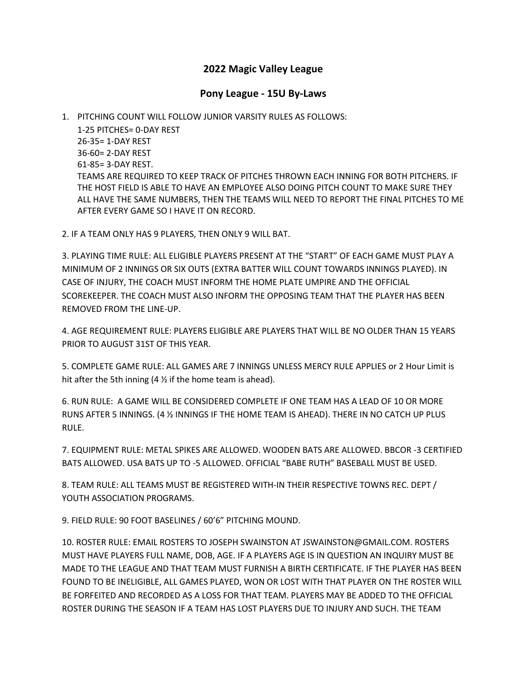## **2022 Magic Valley League**

## **Pony League - 15U By-Laws**

1. PITCHING COUNT WILL FOLLOW JUNIOR VARSITY RULES AS FOLLOWS:

1-25 PITCHES= 0-DAY REST 26-35= 1-DAY REST 36-60= 2-DAY REST 61-85= 3-DAY REST. TEAMS ARE REQUIRED TO KEEP TRACK OF PITCHES THROWN EACH INNING FOR BOTH PITCHERS. IF THE HOST FIELD IS ABLE TO HAVE AN EMPLOYEE ALSO DOING PITCH COUNT TO MAKE SURE THEY ALL HAVE THE SAME NUMBERS, THEN THE TEAMS WILL NEED TO REPORT THE FINAL PITCHES TO ME AFTER EVERY GAME SO I HAVE IT ON RECORD.

2. IF A TEAM ONLY HAS 9 PLAYERS, THEN ONLY 9 WILL BAT.

3. PLAYING TIME RULE: ALL ELIGIBLE PLAYERS PRESENT AT THE "START" OF EACH GAME MUST PLAY A MINIMUM OF 2 INNINGS OR SIX OUTS (EXTRA BATTER WILL COUNT TOWARDS INNINGS PLAYED). IN CASE OF INJURY, THE COACH MUST INFORM THE HOME PLATE UMPIRE AND THE OFFICIAL SCOREKEEPER. THE COACH MUST ALSO INFORM THE OPPOSING TEAM THAT THE PLAYER HAS BEEN REMOVED FROM THE LINE-UP.

4. AGE REQUIREMENT RULE: PLAYERS ELIGIBLE ARE PLAYERS THAT WILL BE NO OLDER THAN 15 YEARS PRIOR TO AUGUST 31ST OF THIS YEAR.

5. COMPLETE GAME RULE: ALL GAMES ARE 7 INNINGS UNLESS MERCY RULE APPLIES or 2 Hour Limit is hit after the 5th inning (4  $\frac{1}{2}$  if the home team is ahead).

6. RUN RULE: A GAME WILL BE CONSIDERED COMPLETE IF ONE TEAM HAS A LEAD OF 10 OR MORE RUNS AFTER 5 INNINGS. (4 ½ INNINGS IF THE HOME TEAM IS AHEAD). THERE IN NO CATCH UP PLUS RULE.

7. EQUIPMENT RULE: METAL SPIKES ARE ALLOWED. WOODEN BATS ARE ALLOWED. BBCOR -3 CERTIFIED BATS ALLOWED. USA BATS UP TO -5 ALLOWED. OFFICIAL "BABE RUTH" BASEBALL MUST BE USED.

8. TEAM RULE: ALL TEAMS MUST BE REGISTERED WITH-IN THEIR RESPECTIVE TOWNS REC. DEPT / YOUTH ASSOCIATION PROGRAMS.

9. FIELD RULE: 90 FOOT BASELINES / 60'6" PITCHING MOUND.

10. ROSTER RULE: EMAIL ROSTERS TO JOSEPH SWAINSTON AT JSWAINSTON@GMAIL.COM. ROSTERS MUST HAVE PLAYERS FULL NAME, DOB, AGE. IF A PLAYERS AGE IS IN QUESTION AN INQUIRY MUST BE MADE TO THE LEAGUE AND THAT TEAM MUST FURNISH A BIRTH CERTIFICATE. IF THE PLAYER HAS BEEN FOUND TO BE INELIGIBLE, ALL GAMES PLAYED, WON OR LOST WITH THAT PLAYER ON THE ROSTER WILL BE FORFEITED AND RECORDED AS A LOSS FOR THAT TEAM. PLAYERS MAY BE ADDED TO THE OFFICIAL ROSTER DURING THE SEASON IF A TEAM HAS LOST PLAYERS DUE TO INJURY AND SUCH. THE TEAM